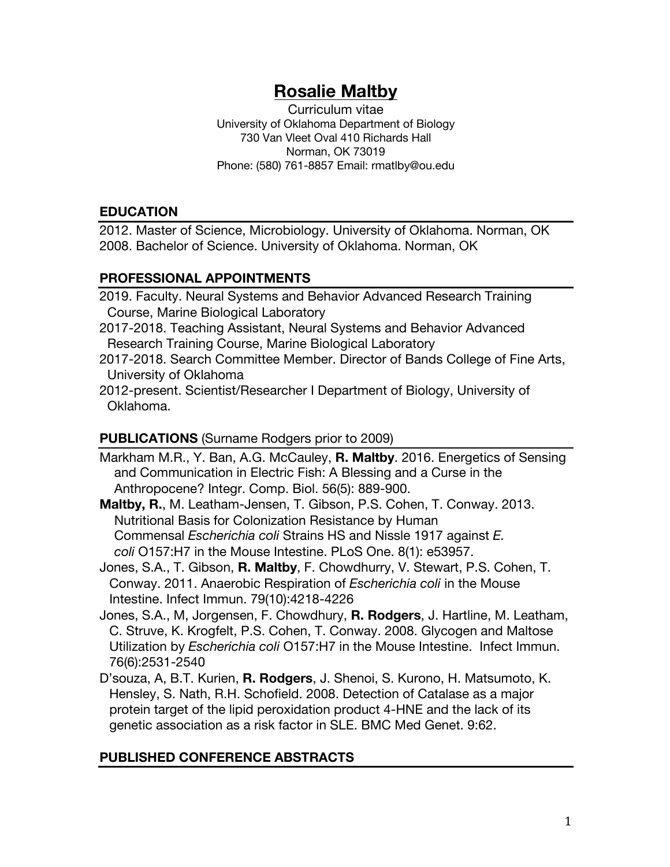# **Rosalie Maltby**

Curriculum vitae University of Oklahoma Department of Biology 730 Van Vleet Oval 410 Richards Hall Norman, OK 73019 Phone: (580) 761-8857 Email: rmatlby@ou.edu

## **EDUCATION**

2012. Master of Science, Microbiology. University of Oklahoma. Norman, OK 2008. Bachelor of Science. University of Oklahoma. Norman, OK

## **PROFESSIONAL APPOINTMENTS**

2019. Faculty. Neural Systems and Behavior Advanced Research Training Course, Marine Biological Laboratory

- 2017-2018. Teaching Assistant, Neural Systems and Behavior Advanced Research Training Course, Marine Biological Laboratory
- 2017-2018. Search Committee Member. Director of Bands College of Fine Arts, University of Oklahoma
- 2012-present. Scientist/Researcher I Department of Biology, University of Oklahoma.

# **PUBLICATIONS** (Surname Rodgers prior to 2009)

Markham M.R., Y. Ban, A.G. McCauley, **R. Maltby**. 2016. Energetics of Sensing and Communication in Electric Fish: A Blessing and a Curse in the Anthropocene? Integr. Comp. Biol. 56(5): 889-900.

**Maltby, R.**, M. Leatham-Jensen, T. Gibson, P.S. Cohen, T. Conway. 2013. Nutritional Basis for Colonization Resistance by Human Commensal *Escherichia coli* Strains HS and Nissle 1917 against *E. coli* O157:H7 in the Mouse Intestine. PLoS One. 8(1): e53957.

Jones, S.A., T. Gibson, **R. Maltby**, F. Chowdhurry, V. Stewart, P.S. Cohen, T. Conway. 2011. Anaerobic Respiration of *Escherichia coli* in the Mouse Intestine. Infect Immun. 79(10):4218-4226

- Jones, S.A., M, Jorgensen, F. Chowdhury, **R. Rodgers**, J. Hartline, M. Leatham, C. Struve, K. Krogfelt, P.S. Cohen, T. Conway. 2008. Glycogen and Maltose Utilization by *Escherichia coli* O157:H7 in the Mouse Intestine. Infect Immun. 76(6):2531-2540
- D'souza, A, B.T. Kurien, **R. Rodgers**, J. Shenoi, S. Kurono, H. Matsumoto, K. Hensley, S. Nath, R.H. Schofield. 2008. Detection of Catalase as a major protein target of the lipid peroxidation product 4-HNE and the lack of its genetic association as a risk factor in SLE. BMC Med Genet. 9:62.

# **PUBLISHED CONFERENCE ABSTRACTS**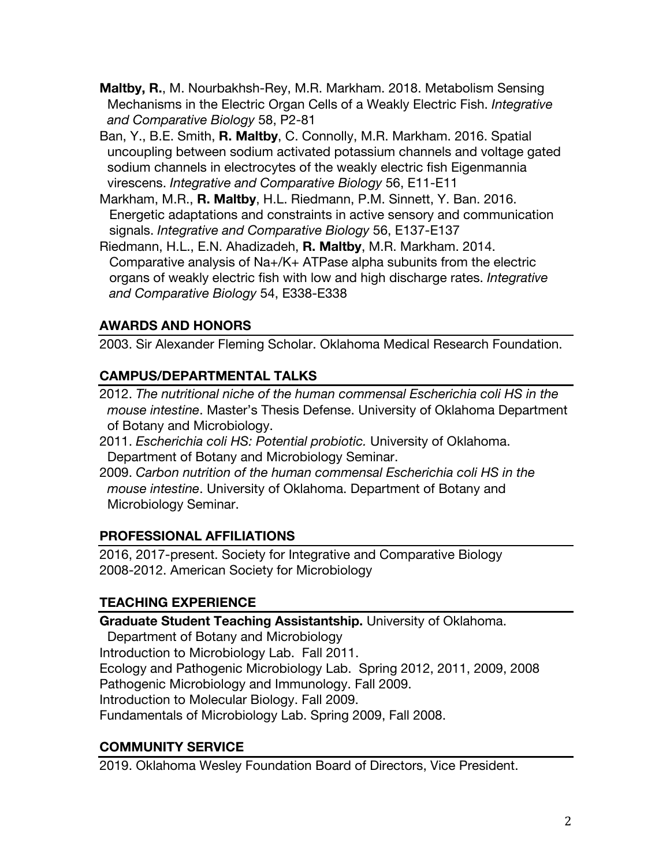**Maltby, R.**, M. Nourbakhsh-Rey, M.R. Markham. 2018. Metabolism Sensing Mechanisms in the Electric Organ Cells of a Weakly Electric Fish. *Integrative and Comparative Biology* 58, P2-81

- Ban, Y., B.E. Smith, **R. Maltby**, C. Connolly, M.R. Markham. 2016. Spatial uncoupling between sodium activated potassium channels and voltage gated sodium channels in electrocytes of the weakly electric fish Eigenmannia virescens. *Integrative and Comparative Biology* 56, E11-E11
- Markham, M.R., **R. Maltby**, H.L. Riedmann, P.M. Sinnett, Y. Ban. 2016. Energetic adaptations and constraints in active sensory and communication signals. *Integrative and Comparative Biology* 56, E137-E137
- Riedmann, H.L., E.N. Ahadizadeh, **R. Maltby**, M.R. Markham. 2014. Comparative analysis of Na+/K+ ATPase alpha subunits from the electric organs of weakly electric fish with low and high discharge rates. *Integrative and Comparative Biology* 54, E338-E338

# **AWARDS AND HONORS**

2003. Sir Alexander Fleming Scholar. Oklahoma Medical Research Foundation.

## **CAMPUS/DEPARTMENTAL TALKS**

- 2012. *The nutritional niche of the human commensal Escherichia coli HS in the mouse intestine*. Master's Thesis Defense. University of Oklahoma Department of Botany and Microbiology.
- 2011. *Escherichia coli HS: Potential probiotic.* University of Oklahoma. Department of Botany and Microbiology Seminar.
- 2009. *Carbon nutrition of the human commensal Escherichia coli HS in the mouse intestine*. University of Oklahoma. Department of Botany and Microbiology Seminar.

## **PROFESSIONAL AFFILIATIONS**

2016, 2017-present. Society for Integrative and Comparative Biology 2008-2012. American Society for Microbiology

# **TEACHING EXPERIENCE**

**Graduate Student Teaching Assistantship.** University of Oklahoma.

Department of Botany and Microbiology Introduction to Microbiology Lab. Fall 2011. Ecology and Pathogenic Microbiology Lab. Spring 2012, 2011, 2009, 2008 Pathogenic Microbiology and Immunology. Fall 2009. Introduction to Molecular Biology. Fall 2009. Fundamentals of Microbiology Lab. Spring 2009, Fall 2008.

# **COMMUNITY SERVICE**

2019. Oklahoma Wesley Foundation Board of Directors, Vice President.